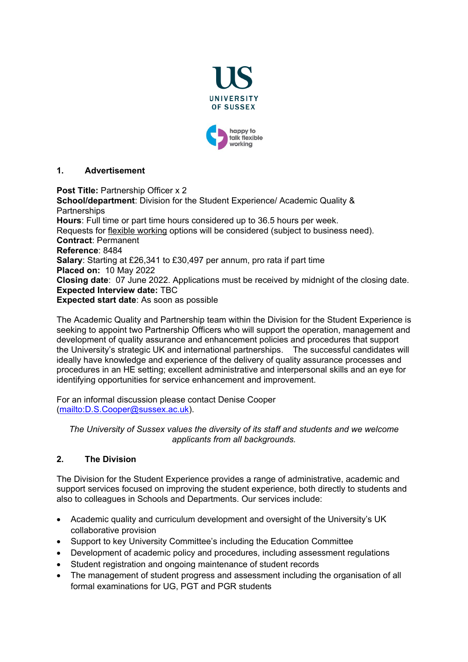



# **1. Advertisement**

**Post Title: Partnership Officer x 2 School/department**: Division for the Student Experience/ Academic Quality & **Partnerships Hours**: Full time or part time hours considered up to 36.5 hours per week. Requests for [flexible working](http://www.sussex.ac.uk/humanresources/personnel/flexible-working) options will be considered (subject to business need). **Contract**: Permanent **Reference**: 8484 **Salary**: Starting at £26,341 to £30,497 per annum, pro rata if part time **Placed on:** 10 May 2022 **Closing date**: 07 June 2022. Applications must be received by midnight of the closing date. **Expected Interview date:** TBC **Expected start date**: As soon as possible

The Academic Quality and Partnership team within the Division for the Student Experience is seeking to appoint two Partnership Officers who will support the operation, management and development of quality assurance and enhancement policies and procedures that support the University's strategic UK and international partnerships. The successful candidates will ideally have knowledge and experience of the delivery of quality assurance processes and procedures in an HE setting; excellent administrative and interpersonal skills and an eye for identifying opportunities for service enhancement and improvement.

For an informal discussion please contact Denise Cooper [\(mailto:D.S.Cooper@sussex.ac.uk\)](mailto:D.S.Cooper@sussex.ac.uk).

*The University of Sussex values the diversity of its staff and students and we welcome applicants from all backgrounds.*

# **2. The Division**

The Division for the Student Experience provides a range of administrative, academic and support services focused on improving the student experience, both directly to students and also to colleagues in Schools and Departments. Our services include:

- Academic quality and curriculum development and oversight of the University's UK collaborative provision
- Support to key University Committee's including the Education Committee
- Development of academic policy and procedures, including assessment regulations
- Student registration and ongoing maintenance of student records
- The management of student progress and assessment including the organisation of all formal examinations for UG, PGT and PGR students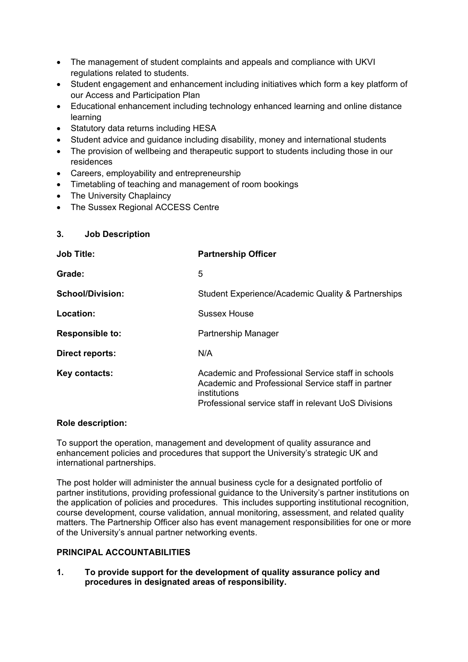- The management of student complaints and appeals and compliance with UKVI regulations related to students.
- Student engagement and enhancement including initiatives which form a key platform of our Access and Participation Plan
- Educational enhancement including technology enhanced learning and online distance learning
- Statutory data returns including HESA
- Student advice and guidance including disability, money and international students
- The provision of wellbeing and therapeutic support to students including those in our residences
- Careers, employability and entrepreneurship
- Timetabling of teaching and management of room bookings
- The University Chaplaincy
- The Sussex Regional ACCESS Centre

### **3. Job Description**

| <b>Job Title:</b>       | <b>Partnership Officer</b>                                                                                                                                                       |
|-------------------------|----------------------------------------------------------------------------------------------------------------------------------------------------------------------------------|
| Grade:                  | 5                                                                                                                                                                                |
| <b>School/Division:</b> | Student Experience/Academic Quality & Partnerships                                                                                                                               |
| Location:               | Sussex House                                                                                                                                                                     |
| <b>Responsible to:</b>  | Partnership Manager                                                                                                                                                              |
| Direct reports:         | N/A                                                                                                                                                                              |
| Key contacts:           | Academic and Professional Service staff in schools<br>Academic and Professional Service staff in partner<br>institutions<br>Professional service staff in relevant UoS Divisions |

#### **Role description:**

To support the operation, management and development of quality assurance and enhancement policies and procedures that support the University's strategic UK and international partnerships.

The post holder will administer the annual business cycle for a designated portfolio of partner institutions, providing professional guidance to the University's partner institutions on the application of policies and procedures. This includes supporting institutional recognition, course development, course validation, annual monitoring, assessment, and related quality matters. The Partnership Officer also has event management responsibilities for one or more of the University's annual partner networking events.

### **PRINCIPAL ACCOUNTABILITIES**

**1. To provide support for the development of quality assurance policy and procedures in designated areas of responsibility.**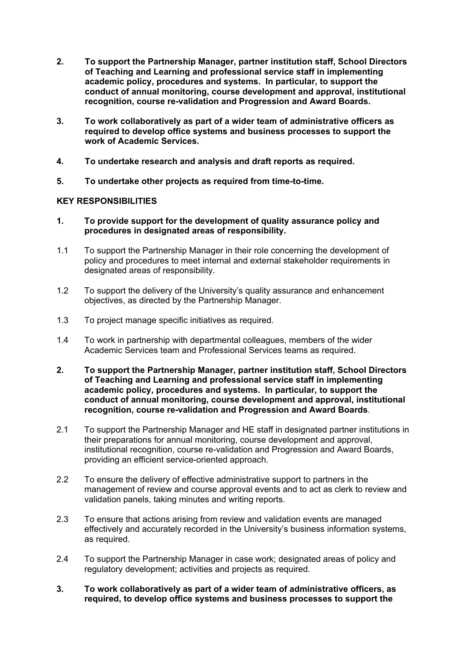- **2. To support the Partnership Manager, partner institution staff, School Directors of Teaching and Learning and professional service staff in implementing academic policy, procedures and systems. In particular, to support the conduct of annual monitoring, course development and approval, institutional recognition, course re-validation and Progression and Award Boards.**
- **3. To work collaboratively as part of a wider team of administrative officers as required to develop office systems and business processes to support the work of Academic Services.**
- **4. To undertake research and analysis and draft reports as required.**
- **5. To undertake other projects as required from time-to-time.**

## **KEY RESPONSIBILITIES**

- **1. To provide support for the development of quality assurance policy and procedures in designated areas of responsibility.**
- 1.1 To support the Partnership Manager in their role concerning the development of policy and procedures to meet internal and external stakeholder requirements in designated areas of responsibility.
- 1.2 To support the delivery of the University's quality assurance and enhancement objectives, as directed by the Partnership Manager.
- 1.3 To project manage specific initiatives as required.
- 1.4 To work in partnership with departmental colleagues, members of the wider Academic Services team and Professional Services teams as required.
- **2. To support the Partnership Manager, partner institution staff, School Directors of Teaching and Learning and professional service staff in implementing academic policy, procedures and systems. In particular, to support the conduct of annual monitoring, course development and approval, institutional recognition, course re-validation and Progression and Award Boards**.
- 2.1 To support the Partnership Manager and HE staff in designated partner institutions in their preparations for annual monitoring, course development and approval, institutional recognition, course re-validation and Progression and Award Boards, providing an efficient service-oriented approach.
- 2.2 To ensure the delivery of effective administrative support to partners in the management of review and course approval events and to act as clerk to review and validation panels, taking minutes and writing reports.
- 2.3 To ensure that actions arising from review and validation events are managed effectively and accurately recorded in the University's business information systems, as required.
- 2.4 To support the Partnership Manager in case work; designated areas of policy and regulatory development; activities and projects as required.
- **3. To work collaboratively as part of a wider team of administrative officers, as required, to develop office systems and business processes to support the**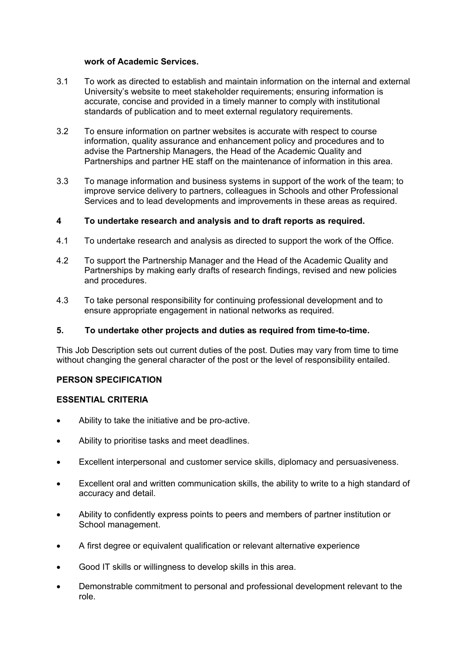#### **work of Academic Services.**

- 3.1 To work as directed to establish and maintain information on the internal and external University's website to meet stakeholder requirements; ensuring information is accurate, concise and provided in a timely manner to comply with institutional standards of publication and to meet external regulatory requirements.
- 3.2 To ensure information on partner websites is accurate with respect to course information, quality assurance and enhancement policy and procedures and to advise the Partnership Managers, the Head of the Academic Quality and Partnerships and partner HE staff on the maintenance of information in this area.
- 3.3 To manage information and business systems in support of the work of the team; to improve service delivery to partners, colleagues in Schools and other Professional Services and to lead developments and improvements in these areas as required.

### **4 To undertake research and analysis and to draft reports as required.**

- 4.1 To undertake research and analysis as directed to support the work of the Office.
- 4.2 To support the Partnership Manager and the Head of the Academic Quality and Partnerships by making early drafts of research findings, revised and new policies and procedures.
- 4.3 To take personal responsibility for continuing professional development and to ensure appropriate engagement in national networks as required.

#### **5. To undertake other projects and duties as required from time-to-time.**

This Job Description sets out current duties of the post. Duties may vary from time to time without changing the general character of the post or the level of responsibility entailed.

### **PERSON SPECIFICATION**

#### **ESSENTIAL CRITERIA**

- Ability to take the initiative and be pro-active.
- Ability to prioritise tasks and meet deadlines.
- Excellent interpersonal and customer service skills, diplomacy and persuasiveness.
- Excellent oral and written communication skills, the ability to write to a high standard of accuracy and detail.
- Ability to confidently express points to peers and members of partner institution or School management.
- A first degree or equivalent qualification or relevant alternative experience
- Good IT skills or willingness to develop skills in this area.
- Demonstrable commitment to personal and professional development relevant to the role.